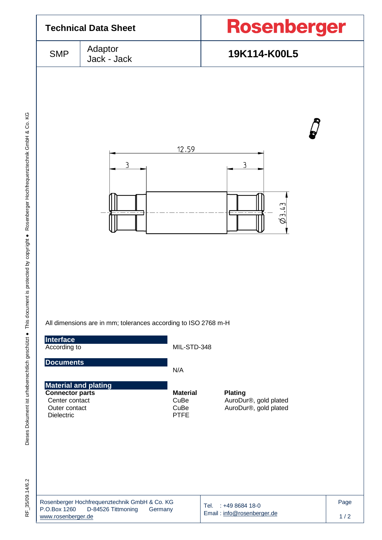

RF\_35/09.14/6.2